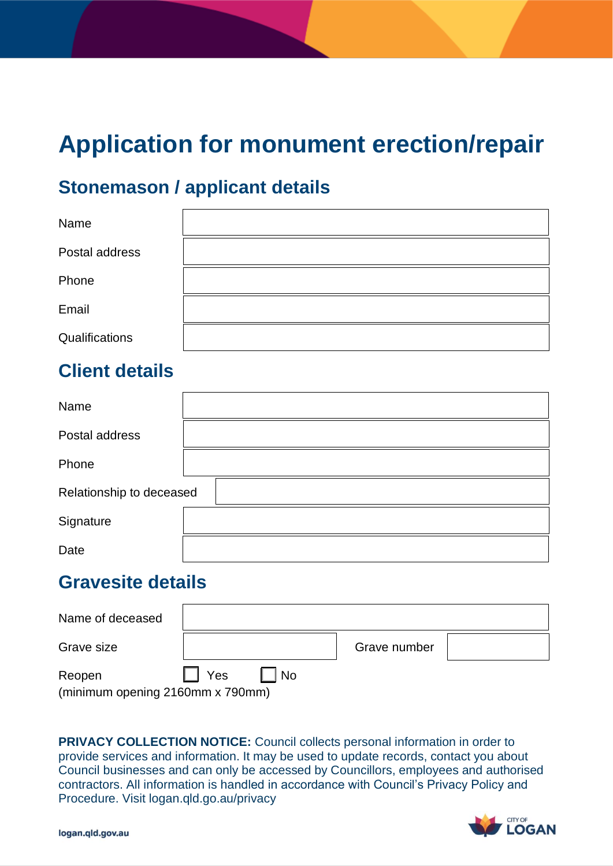# **Application for monument erection/repair**

## **Stonemason / applicant details**

| Name           |  |
|----------------|--|
| Postal address |  |
| Phone          |  |
| Email          |  |
| Qualifications |  |

# **Client details**

| Name                     |  |
|--------------------------|--|
| Postal address           |  |
| Phone                    |  |
| Relationship to deceased |  |
| Signature                |  |
| Date                     |  |

### **Gravesite details**

| Name of deceased                           |            |      |              |  |
|--------------------------------------------|------------|------|--------------|--|
| Grave size                                 |            |      | Grave number |  |
| Reopen<br>(minimum opening 2160mm x 790mm) | <b>Yes</b> | l No |              |  |

 **PRIVACY COLLECTION NOTICE:** Council collects personal information in order to provide services and information. It may be used to update records, contact you about Council businesses and can only be accessed by Councillors, employees and authorised contractors. All information is handled in accordance with Council's Privacy Policy and Procedure. Visit logan.qld.go.au/privacy

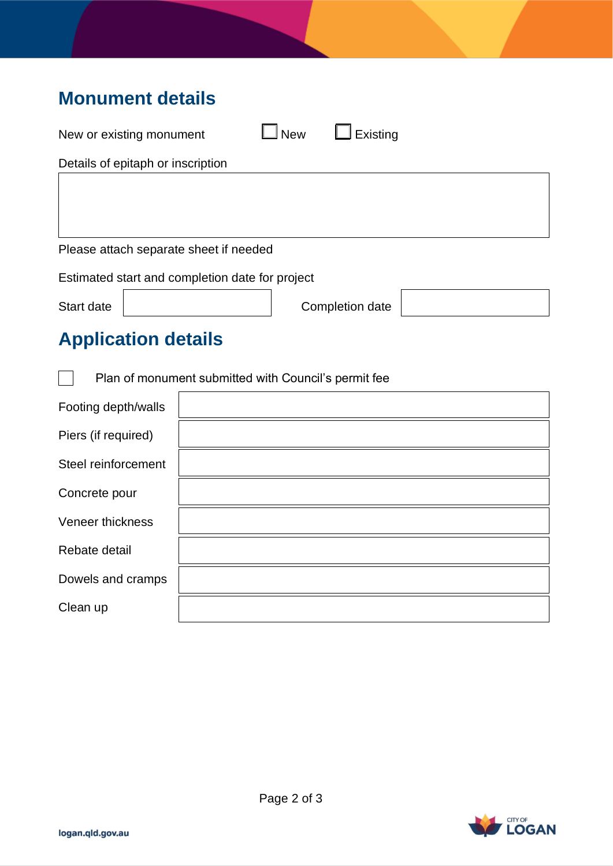# **Monument details**

| New or existing monument                             |  | <b>New</b> | Existing        |  |  |
|------------------------------------------------------|--|------------|-----------------|--|--|
| Details of epitaph or inscription                    |  |            |                 |  |  |
|                                                      |  |            |                 |  |  |
|                                                      |  |            |                 |  |  |
|                                                      |  |            |                 |  |  |
| Please attach separate sheet if needed               |  |            |                 |  |  |
| Estimated start and completion date for project      |  |            |                 |  |  |
| Start date                                           |  |            | Completion date |  |  |
| <b>Application details</b>                           |  |            |                 |  |  |
| Plan of monument submitted with Council's permit fee |  |            |                 |  |  |
| Footing depth/walls                                  |  |            |                 |  |  |
| Piers (if required)                                  |  |            |                 |  |  |
|                                                      |  |            |                 |  |  |

| Footing depth/walls |  |
|---------------------|--|
| Piers (if required) |  |
| Steel reinforcement |  |
| Concrete pour       |  |
| Veneer thickness    |  |
| Rebate detail       |  |
| Dowels and cramps   |  |
| Clean up            |  |